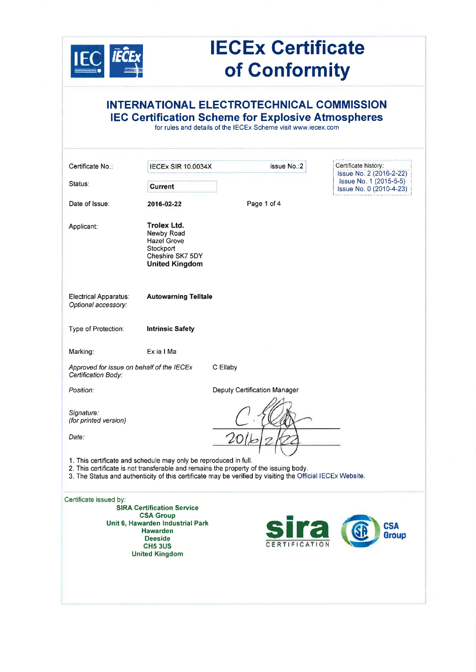

## **IECEx Certificate** of Gonformity

| INTERNATIONAL ELECTROTECHNICAL COMMISSION<br><b>IEC Certification Scheme for Explosive Atmospheres</b><br>for rules and details of the IECEx Scheme visit www.iecex.com |                                                                                                                                                                           |                                                                                                                                                                                                                           |                                                   |  |  |  |
|-------------------------------------------------------------------------------------------------------------------------------------------------------------------------|---------------------------------------------------------------------------------------------------------------------------------------------------------------------------|---------------------------------------------------------------------------------------------------------------------------------------------------------------------------------------------------------------------------|---------------------------------------------------|--|--|--|
| Certificate No.:                                                                                                                                                        | <b>IECEX SIR 10.0034X</b>                                                                                                                                                 | issue No.:2                                                                                                                                                                                                               | Certificate history:<br>Issue No. 2 (2016-2-22)   |  |  |  |
| Status:                                                                                                                                                                 | <b>Current</b>                                                                                                                                                            |                                                                                                                                                                                                                           | Issue No. 1 (2015-5-5)<br>Issue No. 0 (2010-4-23) |  |  |  |
| Date of Issue:                                                                                                                                                          | 2016-02-22                                                                                                                                                                | Page 1 of 4                                                                                                                                                                                                               |                                                   |  |  |  |
| Applicant:                                                                                                                                                              | <b>Trolex Ltd.</b><br>Newby Road<br><b>Hazel Grove</b><br>Stockport<br>Cheshire SK7 5DY<br><b>United Kingdom</b>                                                          |                                                                                                                                                                                                                           |                                                   |  |  |  |
| Electrical Apparatus:<br>Optional accessory:                                                                                                                            | <b>Autowarning Telltale</b>                                                                                                                                               |                                                                                                                                                                                                                           |                                                   |  |  |  |
| Type of Protection:                                                                                                                                                     | <b>Intrinsic Safety</b>                                                                                                                                                   |                                                                                                                                                                                                                           |                                                   |  |  |  |
| Marking:                                                                                                                                                                | Ex ia I Ma                                                                                                                                                                |                                                                                                                                                                                                                           |                                                   |  |  |  |
| Approved for issue on behalf of the IECEx<br>Certification Body:                                                                                                        |                                                                                                                                                                           | C Ellaby                                                                                                                                                                                                                  |                                                   |  |  |  |
| Position:                                                                                                                                                               |                                                                                                                                                                           | Deputy Certification Manager                                                                                                                                                                                              |                                                   |  |  |  |
| Signature:<br>(for printed version)<br>Date:                                                                                                                            |                                                                                                                                                                           |                                                                                                                                                                                                                           |                                                   |  |  |  |
|                                                                                                                                                                         | 1. This certificate and schedule may only be reproduced in full.                                                                                                          | Ŧ.<br>$\mathbf{1}$<br>2. This certificate is not transferable and remains the property of the issuing body.<br>3. The Status and authenticity of this certificate may be verified by visiting the Official IECEx Website. |                                                   |  |  |  |
| Certificate issued by:                                                                                                                                                  | <b>SIRA Certification Service</b><br><b>CSA Group</b><br>Unit 6, Hawarden Industrial Park<br><b>Hawarden</b><br><b>Deeside</b><br><b>CH5 3US</b><br><b>United Kingdom</b> | <b>CERTIFICATION</b>                                                                                                                                                                                                      | Ira<br><b>CSA</b><br>Group                        |  |  |  |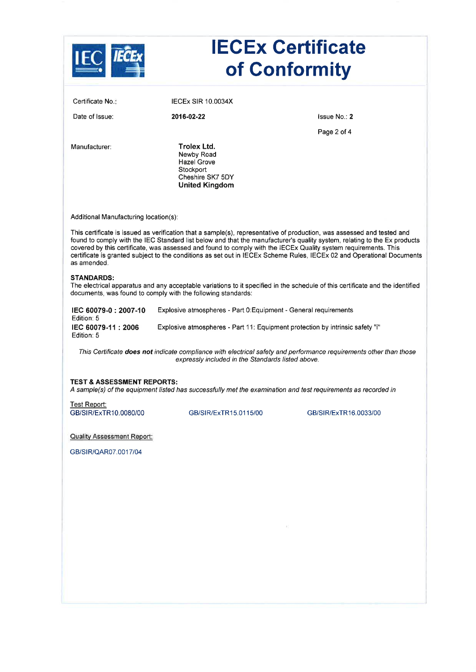|                                                                           |                                                                                                                                                                                                                                          | <b>IECEx Certificate</b><br>of Conformity                                                                                                                                                                                                                                                                                                                                          |
|---------------------------------------------------------------------------|------------------------------------------------------------------------------------------------------------------------------------------------------------------------------------------------------------------------------------------|------------------------------------------------------------------------------------------------------------------------------------------------------------------------------------------------------------------------------------------------------------------------------------------------------------------------------------------------------------------------------------|
| Certificate No.:                                                          | <b>IECEX SIR 10.0034X</b>                                                                                                                                                                                                                |                                                                                                                                                                                                                                                                                                                                                                                    |
| Date of Issue:                                                            | 2016-02-22                                                                                                                                                                                                                               | Issue No: 2                                                                                                                                                                                                                                                                                                                                                                        |
| Manufacturer:                                                             | Trolex Ltd.<br>Newby Road<br><b>Hazel Grove</b><br>Stockport<br>Cheshire SK7 5DY<br><b>United Kingdom</b>                                                                                                                                | Page 2 of 4                                                                                                                                                                                                                                                                                                                                                                        |
| Additional Manufacturing location(s):<br>as amended.<br><b>STANDARDS:</b> | This certificate is issued as verification that a sample(s), representative of production, was assessed and tested and<br>covered by this certificate, was assessed and found to comply with the IECEx Quality system requirements. This | found to comply with the IEC Standard list below and that the manufacturer's quality system, relating to the Ex products<br>certificate is granted subject to the conditions as set out in IECEx Scheme Rules, IECEx 02 and Operational Documents<br>The electrical apparatus and any acceptable variations to it specified in the schedule of this certificate and the identified |
| IEC 60079-0: 2007-10                                                      | documents, was found to comply with the following standards:<br>Explosive atmospheres - Part 0: Equipment - General requirements                                                                                                         |                                                                                                                                                                                                                                                                                                                                                                                    |
| Edition: 5<br>IEC 60079-11: 2006<br>Edition: 5                            | Explosive atmospheres - Part 11: Equipment protection by intrinsic safety "i"                                                                                                                                                            |                                                                                                                                                                                                                                                                                                                                                                                    |
|                                                                           | This Certificate does not indicate compliance with electrical safety and performance requirements other than those<br>expressly included in the Standards listed above.                                                                  |                                                                                                                                                                                                                                                                                                                                                                                    |
| <b>TEST &amp; ASSESSMENT REPORTS:</b>                                     | A sample(s) of the equipment listed has successfully met the examination and test requirements as recorded in                                                                                                                            |                                                                                                                                                                                                                                                                                                                                                                                    |
| Test Report:<br>GB/SIR/ExTR10.0080/00                                     | GB/SIR/ExTR15.0115/00                                                                                                                                                                                                                    | GB/SIR/ExTR16.0033/00                                                                                                                                                                                                                                                                                                                                                              |
| <b>Quality Assessment Report:</b>                                         |                                                                                                                                                                                                                                          |                                                                                                                                                                                                                                                                                                                                                                                    |
| GB/SIR/QAR07.0017/04                                                      |                                                                                                                                                                                                                                          |                                                                                                                                                                                                                                                                                                                                                                                    |
|                                                                           |                                                                                                                                                                                                                                          |                                                                                                                                                                                                                                                                                                                                                                                    |
|                                                                           |                                                                                                                                                                                                                                          |                                                                                                                                                                                                                                                                                                                                                                                    |
|                                                                           |                                                                                                                                                                                                                                          |                                                                                                                                                                                                                                                                                                                                                                                    |
|                                                                           |                                                                                                                                                                                                                                          |                                                                                                                                                                                                                                                                                                                                                                                    |
|                                                                           |                                                                                                                                                                                                                                          |                                                                                                                                                                                                                                                                                                                                                                                    |
|                                                                           |                                                                                                                                                                                                                                          |                                                                                                                                                                                                                                                                                                                                                                                    |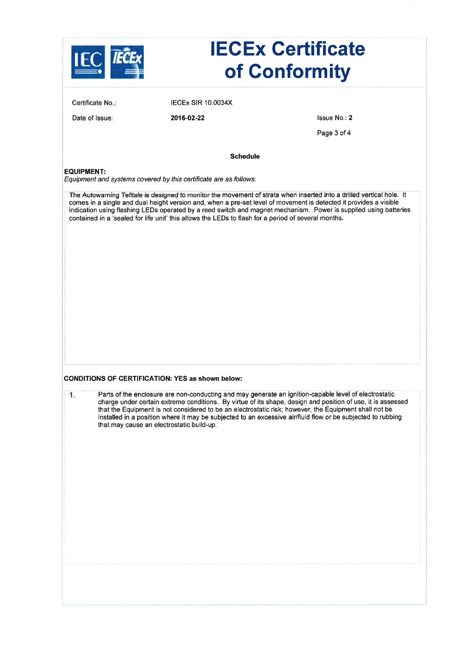| Certificate No.:<br><b>IECEX SIR 10.0034X</b><br>Issue No.: 2<br>Date of Issue:<br>2016-02-22<br>Page 3 of 4<br><b>Schedule</b><br><b>EQUIPMENT:</b><br>Equipment and systems covered by this certificate are as follows:<br>The Autowarning Telltale is designed to monitor the movement of strata when inserted into a drilled vertical hole. It<br>comes in a single and dual height version and, when a pre-set level of movement is detected it provides a visible<br>indication using flashing LEDs operated by a reed switch and magnet mechanism. Power is supplied using batteries<br>contained in a 'sealed for life unit' this allows the LEDs to flash for a period of several months.<br><b>CONDITIONS OF CERTIFICATION: YES as shown below:</b><br>Parts of the enclosure are non-conducting and may generate an ignition-capable level of electrostatic<br>1.<br>charge under certain extreme conditions. By virtue of its shape, design and position of use, it is assessed<br>that the Equipment is not considered to be an electrostatic risk; however, the Equipment shall not be<br>installed in a position where it may be subjected to an excessive air/fluid flow or be subjected to rubbing<br>that may cause an electrostatic build-up. |  | <b>IECEx Certificate</b><br>of Conformity |
|------------------------------------------------------------------------------------------------------------------------------------------------------------------------------------------------------------------------------------------------------------------------------------------------------------------------------------------------------------------------------------------------------------------------------------------------------------------------------------------------------------------------------------------------------------------------------------------------------------------------------------------------------------------------------------------------------------------------------------------------------------------------------------------------------------------------------------------------------------------------------------------------------------------------------------------------------------------------------------------------------------------------------------------------------------------------------------------------------------------------------------------------------------------------------------------------------------------------------------------------------------------|--|-------------------------------------------|
|                                                                                                                                                                                                                                                                                                                                                                                                                                                                                                                                                                                                                                                                                                                                                                                                                                                                                                                                                                                                                                                                                                                                                                                                                                                                  |  |                                           |
|                                                                                                                                                                                                                                                                                                                                                                                                                                                                                                                                                                                                                                                                                                                                                                                                                                                                                                                                                                                                                                                                                                                                                                                                                                                                  |  |                                           |
|                                                                                                                                                                                                                                                                                                                                                                                                                                                                                                                                                                                                                                                                                                                                                                                                                                                                                                                                                                                                                                                                                                                                                                                                                                                                  |  |                                           |
|                                                                                                                                                                                                                                                                                                                                                                                                                                                                                                                                                                                                                                                                                                                                                                                                                                                                                                                                                                                                                                                                                                                                                                                                                                                                  |  |                                           |
|                                                                                                                                                                                                                                                                                                                                                                                                                                                                                                                                                                                                                                                                                                                                                                                                                                                                                                                                                                                                                                                                                                                                                                                                                                                                  |  |                                           |
|                                                                                                                                                                                                                                                                                                                                                                                                                                                                                                                                                                                                                                                                                                                                                                                                                                                                                                                                                                                                                                                                                                                                                                                                                                                                  |  |                                           |
|                                                                                                                                                                                                                                                                                                                                                                                                                                                                                                                                                                                                                                                                                                                                                                                                                                                                                                                                                                                                                                                                                                                                                                                                                                                                  |  |                                           |